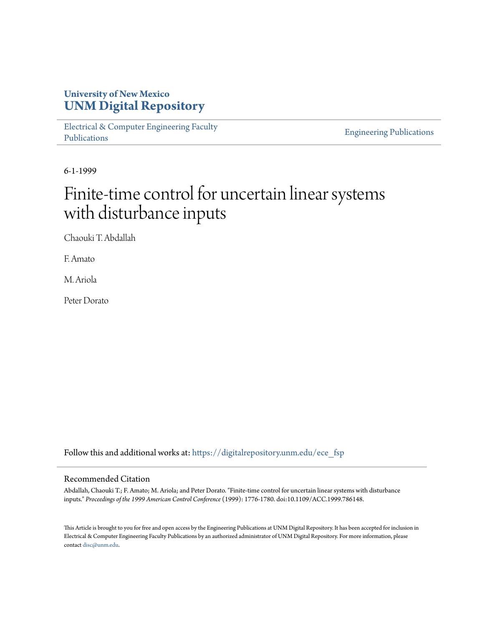## **University of New Mexico [UNM Digital Repository](https://digitalrepository.unm.edu?utm_source=digitalrepository.unm.edu%2Fece_fsp%2F197&utm_medium=PDF&utm_campaign=PDFCoverPages)**

[Electrical & Computer Engineering Faculty](https://digitalrepository.unm.edu/ece_fsp?utm_source=digitalrepository.unm.edu%2Fece_fsp%2F197&utm_medium=PDF&utm_campaign=PDFCoverPages) [Publications](https://digitalrepository.unm.edu/ece_fsp?utm_source=digitalrepository.unm.edu%2Fece_fsp%2F197&utm_medium=PDF&utm_campaign=PDFCoverPages)

[Engineering Publications](https://digitalrepository.unm.edu/eng_fsp?utm_source=digitalrepository.unm.edu%2Fece_fsp%2F197&utm_medium=PDF&utm_campaign=PDFCoverPages)

6-1-1999

# Finite-time control for uncertain linear systems with disturbance inputs

Chaouki T. Abdallah

F. Amato

M. Ariola

Peter Dorato

Follow this and additional works at: [https://digitalrepository.unm.edu/ece\\_fsp](https://digitalrepository.unm.edu/ece_fsp?utm_source=digitalrepository.unm.edu%2Fece_fsp%2F197&utm_medium=PDF&utm_campaign=PDFCoverPages)

### Recommended Citation

Abdallah, Chaouki T.; F. Amato; M. Ariola; and Peter Dorato. "Finite-time control for uncertain linear systems with disturbance inputs." *Proceedings of the 1999 American Control Conference* (1999): 1776-1780. doi:10.1109/ACC.1999.786148.

This Article is brought to you for free and open access by the Engineering Publications at UNM Digital Repository. It has been accepted for inclusion in Electrical & Computer Engineering Faculty Publications by an authorized administrator of UNM Digital Repository. For more information, please contact [disc@unm.edu.](mailto:disc@unm.edu)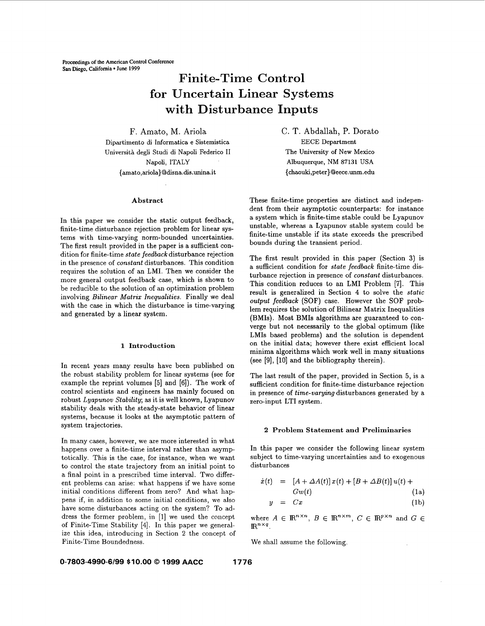## **Finite-Time Control for Uncertain Linear Systems with Disturbance Inputs**

F. Amato, M. Ariola Dipartimento di Informatica e Sistemistica Universiti degli Studi **di** Napoli Federico I1 Napoli, ITALY { **amato,ariola}Odisna.dis.unina.it** 

#### **Abstract**

In this paper we consider the static output feedback, finite-time disturbance rejection problem for linear systems with time-varying norm-bounded uncertainties. The first result provided in the paper is a sufficient condition for finite-time *state feedback* disturbance rejection in the presence of *constant* disturbances. This condition requires the solution of an LMI. Then we consider the more general output feedback case, which is shown to be reducible to the solution of an optimization problem involving *Bilinear Matrix Inequalities.* Finally we deal with the case in which the disturbance is time-varying and generated by a linear system.

#### **1 Introduction**

In recent years many results have been published on the robust stability problem for linear systems (see for example the reprint volumes [5] and [6]). The work of control scientists and engineers has mainly focused on robust *Lyapunov Stability;* **as** it is well known, Lyapunov stability deals with the steady-state behavior of linear systems, because it looks at the asymptotic pattern of system trajectories.

In many cases, however, we are more interested in what happens over a finite-time interval rather than asymptotically. This is the case, for instance, when we want to control the state trajectory from an initial point to a final point in a prescribed time interval. Two different problems can arise: what happens if we have some initial conditions different from zero? And what happens if, in addition to some initial conditions, we also have some disturbances acting on the system? To address the former problem, in *[l]* we used the concept of Finite-Time Stability *[4].* In this paper we generalize this idea, introducing in Section 2 the concept of Finite-Time Boundedness.

C. T. Abdallah, P. Dorato EECE Department The University of New Mexico Albuquerque, NM **87131** USA { chaouki [,peter}Qeece.unm.edu](http://peter}Qeece.unm.edu) 

These finite-time properties are distinct and independent from their asymptotic counterparts: for instance a system which is finite-time stable could be Lyapunov unstable, whereas a Lyapunov stable system could be finite-time unstable if its state exceeds the prescribed bounds during the transient period.

The first result provided in this paper (Section **3)** is a sufficient condition for *state feedback* finite-time disturbance rejection in presence of *constant* disturbances. This condition reduces to an LMI Problem [7]. This result is generalized in Section **4** to solve the *static output feedback* (SOF) case. However the SOF problem requires the solution of Bilinear Matrix Inequalities (BMIs). Most BMIs algorithms are guaranteed to converge but not necessarily to the global optimum (like LMIs based problems) and the solution is dependent on the initial data; however there exist efficient **local**  minima algorithms which work well in many situations (see **[9],** [lo] and the bibliography therein).

The last result of the paper, provided in Section 5, is a sufficient condition for finite-time disturbance rejection in presence of *time-varying* disturbances generated by a zero-input LTI system.

#### **2 Problem Statement and Preliminaries**

In this paper we consider the following linear system subject to time-varying uncertainties and to exogenous disturbances

$$
\dot{x}(t) = [A + \Delta A(t)]x(t) + [B + \Delta B(t)]u(t) +
$$
  
\n
$$
Gw(t)
$$
\n(1a)  
\n
$$
y = Cx
$$
\n(1b)

where  $A \in \mathbb{R}^{n \times n}$ ,  $B \in \mathbb{R}^{n \times m}$ ,  $C \in \mathbb{R}^{p \times n}$  and  $G \in$  $\mathbb{R}^{n \times q}$ .

We shall assume the following.

#### **0-7803-4990-6/99 \$10.00** *0* **1999 AACC 1776**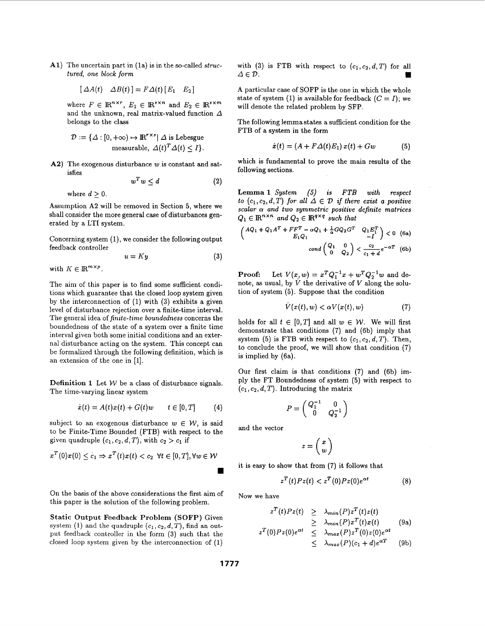A1) The uncertain part in (1a) is in the so-called *structured, one block form* 

$$
[\Delta A(t) \quad \Delta B(t)] = F \Delta(t) [E_1 \quad E_2]
$$

where  $F \in \mathbb{R}^{n \times r}$ ,  $E_1 \in \mathbb{R}^{s \times n}$  and  $E_2 \in \mathbb{R}^{s \times m}$ and the unknown, real matrix-valued function *A*  belongs to the class

$$
\mathcal{D} := \{ \Delta : [0, +\infty) \mapsto \mathbb{R}^{r \times s} | \Delta \text{ is Lebesgue} \\ \text{measurable, } \Delta(t)^T \Delta(t) \le I \}.
$$

A2) The exogenous disturbance w is constant and satisfies

$$
w^T w \le d \tag{2}
$$

where  $d > 0$ .

Assumption A2 will be removed in Section 5, where we shall consider the more general case of disturbances generated by a LTI system.

Concerning system (I), we consider the following output feedback controller

$$
u = Ky \tag{3}
$$

with  $K \in \mathbb{R}^{m \times p}$ .

The aim of this paper is to find some sufficient conditions which guarantee that the closed loop system given by the interconnection of (1) with **(3)** exhibits a given level of disturbance rejection over a finite-time interval. The general idea of *finite-time boundedness* concerns the boundedness of the state of a system over a finite time interval given both some initial conditions and an external disturbance acting on the system. This concept can be formalized through the following definition, which is an extension of the one in [l].

**Definition 1** Let *W* be a class of disturbance signals. The time-varying linear system

$$
\dot{x}(t) = A(t)x(t) + G(t)w \qquad t \in [0, T] \tag{4}
$$

subject to an exogenous disturbance  $w \in \mathcal{W}$ , is said to be Finite-Time Bounded (FTB) with respect to the given quadruple  $(c_1, c_2, d, T)$ , with  $c_2 > c_1$  if

$$
x^T(0)x(0) \leq c_1 \Rightarrow x^T(t)x(t) < c_2 \ \forall t \in [0, T], \forall w \in \mathcal{W}
$$

On the basis of the above considerations the first aim of this paper is the solution of the following problem.

**Static Output Feedback Problem (SOFP)** Given system (1) and the quadruple  $(c_1, c_2, d, T)$ , find an output feedback controller in the form **(3)** such that the closed loop system given by the interconnection of (1)

with (3) is FTB with respect to  $(c_1, c_2, d, T)$  for all  $\Delta \in \mathcal{D}$ .  $\Delta \in \mathcal{D}$ .

A particular case of SOFP is the one in which the whole state of system (1) is available for feedback  $(C = I)$ ; we will denote the related problem by SFP.

The following lemmastates a sufficient condition for the FTB of a system in the form

$$
\dot{x}(t) = (A + F\Delta(t)E_1) x(t) + Gw \qquad (5)
$$

which is fundamental to prove the main results of the following sections.

**Lemma 1** *System* **(5)** *is FTB with respect to*  $(c_1, c_2, d, T)$  for all  $\Delta \in \mathcal{D}$  if there exist a positive *scalar a and two symmetric positive definite matrices*   $Q_1 \in \mathbb{R}^{n \times n}$  and  $Q_2 \in \mathbb{R}^{q \times q}$  such that

$$
\begin{pmatrix} AQ_1 + Q_1A^T + FF^T - \alpha Q_1 + \frac{1}{\alpha}GQ_2G^T & Q_1E_1^T \\ E_1Q_1 & -I \end{pmatrix} < 0 \quad \text{(6a)}
$$

$$
cond\begin{pmatrix} Q_1 & 0 \\ 0 & Q_2 \end{pmatrix} < \frac{c_2}{c_1 + d}e^{-\alpha T} \quad \text{(6b)}
$$

**Proof:** Let  $V(x, w) = x^T Q_1^{-1} x + w^T Q_2^{-1} w$  and denote, as usual, by  $\dot{V}$  the derivative of  $V$  along the solution of system (5). Suppose that the condition

$$
\dot{V}(x(t), w) < \alpha V(x(t), w) \tag{7}
$$

holds for all  $t \in [0, T]$  and all  $w \in \mathcal{W}$ . We will first demonstrate that conditions **(7)** and (6b) imply that system (5) is FTB with respect to  $(c_1, c_2, d, T)$ . Then, to conclude the proof, we will show that condition (7) is implied by (6a).

Our first claim is that conditions (7) and (6b) imply the FT Boundedness of system (5) with respect to  $(c_1, c_2, d, T)$ . Introducing the matrix

$$
P=\left(\begin{matrix}Q_1^{-1}&0\\0&Q_2^{-1}\end{matrix}\right)
$$

and the vector

$$
z=\left(\begin{array}{c} x \\ w \end{array}\right)
$$

it is easy to show that from (7) it follows that

$$
z^{T}(t)Pz(t) < z^{T}(0)Pz(0)e^{\alpha t}
$$
 (8)

Now we have

$$
z^{T}(t)Pz(t) \geq \lambda_{min}(P)z^{T}(t)z(t)
$$
  
\n
$$
\geq \lambda_{min}(P)x^{T}(t)x(t)
$$
  
\n
$$
z^{T}(0)Pz(0)e^{\alpha t} \leq \lambda_{max}(P)z^{T}(0)z(0)e^{\alpha t}
$$
  
\n
$$
\leq \lambda_{max}(P)(c_{1} + d)e^{\alpha T}
$$
 (9b)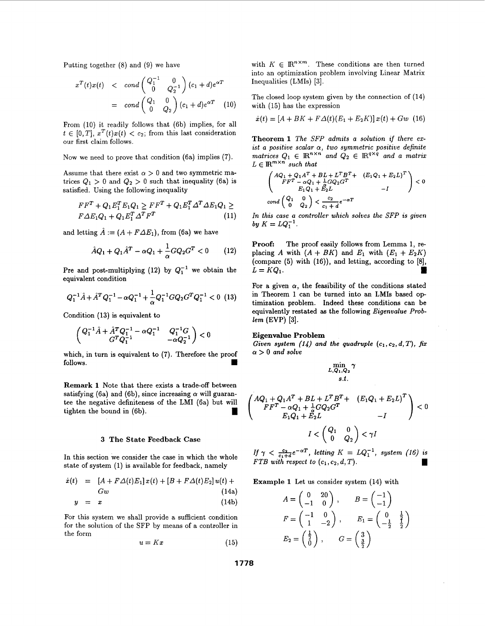Putting together (8) and (9) we have

$$
x^{T}(t)x(t) < cond \begin{pmatrix} Q_{1}^{-1} & 0 \ 0 & Q_{2}^{-1} \end{pmatrix} (c_{1} + d)e^{\alpha T}
$$

$$
= cond \begin{pmatrix} Q_{1} & 0 \ 0 & Q_{2} \end{pmatrix} (c_{1} + d)e^{\alpha T} \quad (10)
$$

From (10) it readily follows that (6b) implies, for all  $t \in [0,T], x^T(t)x(t) < c_2$ ; from this last consideration our first claim follows.

Now we need to prove that condition (6a) implies (7).

Assume that there exist  $\alpha > 0$  and two symmetric matrices  $Q_1 > 0$  and  $Q_2 > 0$  such that inequality (6a) is satisfied. Using the following inequality

$$
FFT + Q1E1TE1Q1 \geq FFT + Q1E1T \DeltaT \Delta E1Q1 \ge
$$
  
\n
$$
F\Delta E1Q1 + Q1E1T \DeltaTFT
$$
\n(11)

and letting  $\hat{A} := (A + F \Delta E_1)$ , from (6a) we have

$$
\hat{A}Q_1 + Q_1\hat{A}^T - \alpha Q_1 + \frac{1}{\alpha}GQ_2G^T < 0 \qquad (12)
$$

Pre and post-multiplying (12) by  $Q_1^{-1}$  we obtain the equivalent condition

$$
Q_1^{-1}\hat{A} + \hat{A}^T Q_1^{-1} - \alpha Q_1^{-1} + \frac{1}{\alpha} Q_1^{-1} G Q_2 G^T Q_1^{-1} < 0
$$
 (13)

Condition **(13)** is equivalent to

$$
\begin{pmatrix}Q_1^{-1}\hat{A}+\hat{A}^TQ_1^{-1}-\alpha Q_1^{-1} & Q_1^{-1}G \\ G^TQ_1^{-1} & -\alpha Q_2^{-1}\end{pmatrix}<0
$$

which, in turn is equivalent to **(7).** Therefore the proof follows.

**Remark 1** Note that there exists a trade-off between satisfying (6a) and (6b), since increasing  $\alpha$  will guarantee the negative definiteness of the **LMI** (6a) but will **Remark 1** Note that there exists a trade-off between<br>satisfying (6a) and (6b), since increasing  $\alpha$  will guaran-<br>tee the negative definiteness of the LMI (6a) but will<br>tighten the bound in (6b).

#### **3 The State Feedback Case**

In this section we consider the case in which the whole state of system (1) is available for feedback, namely

$$
\dot{x}(t) = [A + F\Delta(t)E_1] x(t) + [B + F\Delta(t)E_2] u(t) +
$$

$$
Gw \tag{14a}
$$

$$
y = x \tag{14b}
$$

For this system we shall provide a sufficient condition for the solution of the SFP by means of a controller in the form

$$
u = Kx \tag{15}
$$

with  $K \in \mathbb{R}^{n \times m}$ . These conditions are then turned into an optimization problem involving Linear Matrix Inequalities (LMIs) **[3].** 

The closed loop system given by the connection of (14) with (15) has the expression

$$
\dot{x}(t) = [A + BK + F\Delta(t)(E_1 + E_2K)] x(t) + Gw (16)
$$

**Theorem 1** *The SFP admits a solution if there exist a positive scalar* **a,** *two symmetric positive definite matrices*  $Q_1 \in \mathbb{R}^{n \times n}$  and  $Q_2 \in \mathbb{R}^{q \times q}$  and a matrix  $L \in \mathbb{R}^{m \times n}$  such that

$$
\begin{pmatrix} AQ_1 + Q_1A^T + BL + L^TB^T + (E_1Q_1 + E_2L)^T \ F F^T - \alpha Q_1 + \frac{1}{\alpha}GQ_2G^T \\ E_1Q_1 + E_2L - I \end{pmatrix} < 0
$$
  
cond  $\begin{pmatrix} Q_1 & 0 \ 0 & Q_2 \end{pmatrix} < \frac{c_2}{c_1 + d}e^{-\alpha T}$ 

*In this case a controller which solves the SFP is given by*  $K = LQ_1^{-1}$ .

**Proof:** The proof easily follows from Lemma **1, re**placing *A* with  $(A + BK)$  and  $E_1$  with  $(E_1 + E_2K)$ (compare **(5)** with **(16)),** and letting, according to *[8],*   $L = KQ_1$ .

For a given  $\alpha$ , the feasibility of the conditions stated in Theorem **1** can be turned into an **LMIs** based **op**  timization problem. Indeed these conditions can be equivalently restated **as** the following *Eigenvalue Problem* (EVP) **[3].** 

#### **Eigenvalue Problem**

*Given system (14) and the quadruple*  $(c_1, c_2, d, T)$ *, fix*  $\alpha > 0$  and solve

 $\min_{L,Q_1,Q_2} \gamma$ 

s.t.  
\n
$$
\left( AQ_1 + Q_1 A^T + BL + L^T B^T + (E_1 Q_1 + E_2 L)^T \right) < 0
$$
\n
$$
F F^T - \alpha Q_1 + \frac{1}{\alpha} G Q_2 G^T - I
$$
\n
$$
I < \begin{pmatrix} Q_1 & 0 \\ 0 & Q_2 \end{pmatrix} < \gamma I
$$

*If*  $\gamma < \frac{c_2}{c_1+d}e^{-\alpha T}$ , letting  $K = LQ_1^{-1}$ , system (16) is *FTB with respect to*  $(c_1, c_2, d, T)$ .<br> **If**  $\gamma < \frac{c_2}{c_1+d}e^{-\alpha T}$ , letting  $K = LQ_1^{-1}$ , system (16) is<br> **IFTB with respect to**  $(c_1, c_2, d, T)$ .

**Example 1** Let us consider system (14) with

$$
A = \begin{pmatrix} 0 & 20 \\ -1 & 0 \end{pmatrix}, \qquad B = \begin{pmatrix} -1 \\ -1 \end{pmatrix}
$$
  
\n
$$
F = \begin{pmatrix} -1 & 0 \\ 1 & -2 \end{pmatrix}, \qquad E_1 = \begin{pmatrix} 0 & \frac{1}{2} \\ -\frac{1}{2} & \frac{1}{2} \end{pmatrix}
$$
  
\n
$$
E_2 = \begin{pmatrix} \frac{1}{2} \\ 0 \end{pmatrix}, \qquad G = \begin{pmatrix} 3 \\ \frac{3}{2} \end{pmatrix}
$$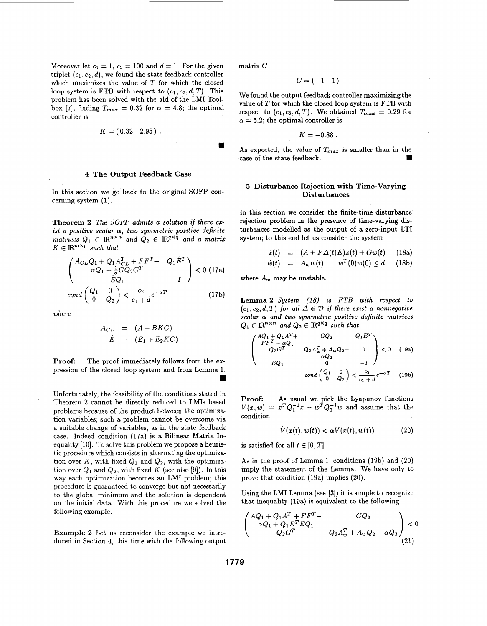Moreover let  $c_1 = 1$ ,  $c_2 = 100$  and  $d = 1$ . For the given triplet *(c1, c2, d),* we found the state feedback controller which maximizes the value of *T* for which the closed loop system is FTB with respect to  $(c_1, c_2, d, T)$ . This problem has been solved with the aid of the LMI Toolbox [7], finding  $T_{max} = 0.32$  for  $\alpha = 4.8$ ; the optimal controller is

$$
K = (0.32 \ 2.95) \; .
$$

#### **4 The Output Feedback Case**

In this section we go back to the original SOFP concerning system (1).

**Theorem 2** *The SOFp admits a solution if there exist a positive scalar a, two symmetric positive definite*   $\text{matrix} \quad Q_1 \in \mathbb{R}^{n \times n} \text{ and } Q_2 \in \mathbb{R}^{q \times q} \text{ and a matrix}$  $K \in \mathbb{R}^{m \times p}$  *such that* 

$$
\begin{pmatrix} A_{CL}Q_1 + Q_1 A_{CL}^T + FF^T - Q_1 \hat{E}^T \\ \alpha Q_1 + \frac{1}{\alpha} G Q_2 G^T & -I \end{pmatrix} < 0 \text{ (17a)}
$$
  
cond  $\begin{pmatrix} Q_1 & 0 \\ 0 & Q_2 \end{pmatrix} < \frac{c_2}{c_1 + d} e^{-\alpha T}$  (17b)

$$
A_{CL} = (A + BKC)
$$
  

$$
\hat{E} = (E_1 + E_2 KC)
$$

**Proof:** The proof immediately follows from the expression of the closed loop system and from Lemma 1.

Unfortunately, the feasibility of the conditions stated in Theorem 2 cannot be directly reduced to LMIs based problems because of the product between the optimization variables; such a problem cannot be overcome via a suitable change of variables, **as** in the state feedback case. Indeed condition (17a) is a Bilinear Matrix Inequality [10]. To solve this problem we propose a heuristic procedure which consists in alternating the optimization over  $K$ , with fixed  $Q_1$  and  $Q_2$ , with the optimization over  $Q_1$  and  $Q_2$ , with fixed K (see also [9]). In this way each optimization becomes an LMI problem; this procedure is guaranteed to converge but not necessarily to the global minimum and the solution is dependent on the initial data. With this procedure we solved the following example.

**Example 2** Let us reconsider the example we introduced in Section **4,** this time with the following output matrix *C* 

$$
C = (-1 \quad 1)
$$

We found the output feedback controller maximizing the value of  $T$  for which the closed loop system is FTB with respect to  $(c_1, c_2, d, T)$ . We obtained  $T_{max} = 0.29$  for  $\alpha = 5.2$ ; the optimal controller is  $T_{max} = 0.32$  for  $\alpha = 4.8$ ; the optimal respect to  $(c_1, c_2, d, T)$ . We obtained  $T_{max} = 0.29$  for  $\alpha = 5.2$ ; the optimal controller is  $K = -0.88$ .<br>  $K = -0.88$ .<br>
As expected, the value of  $T_{max}$  is smaller than in the case of

$$
K = -0.88
$$

As expected, the value of  $T_{max}$  is smaller than in the case of the state feedback.

#### **5 Disturbance Rejection with Time-Varying Disturbances**

In this section we consider the finite-time disturbance rejection problem in the presence of time-varying disturbances modelled **as** the output of **a** zero-input LTI system; to this end let us consider the system

$$
\dot{x}(t) = (A + F\Delta(t)E)x(t) + Gw(t) \qquad (18a)
$$

$$
\dot{w}(t) = A_w w(t) \quad w^T(0)w(0) \leq d \quad (18b)
$$

where  $A_w$  may be unstable.

**Lemma 2** System (18) is FTB with respect to  $(c_1, c_2, d, T)$  for all  $\Delta \in \mathcal{D}$  if there exist a nonnegative *scalar a* **and** *two symmetric positive definite matrices where*   $Q_1 \in \mathbb{R}^{n \times n}$  and  $Q_2 \in \mathbb{R}^{q \times q}$  such that

*AQi* + *QiAT+ GQ2 I3* = *(El+E2KC)* 

**Proof: As** usual we pick the Lyapunov functions  $V(x, w) = x^{T} Q_{1}^{-1} x + w^{T} Q_{2}^{-1} w$  and assume that the condition

$$
\dot{V}(x(t), w(t)) < \alpha V(x(t), w(t)) \tag{20}
$$

is satisfied for all  $t \in [0, T]$ .

**As** in the proof of Lemma 1, conditions (19b) and (20) imply the statement of the Lemma. We have only to prove that condition (19a) implies (20).

Using the LMI Lemma (see [3]) it is simple to recognize that inequality (19a) is equivalent to the following

$$
\begin{pmatrix} AQ_1 + Q_1A^T + FF^T - & GQ_2 \ \alpha Q_1 + Q_1E^TEQ_1 & Q_2A_w^T + A_wQ_2 - \alpha Q_2 \end{pmatrix} < 0
$$
\n(21)